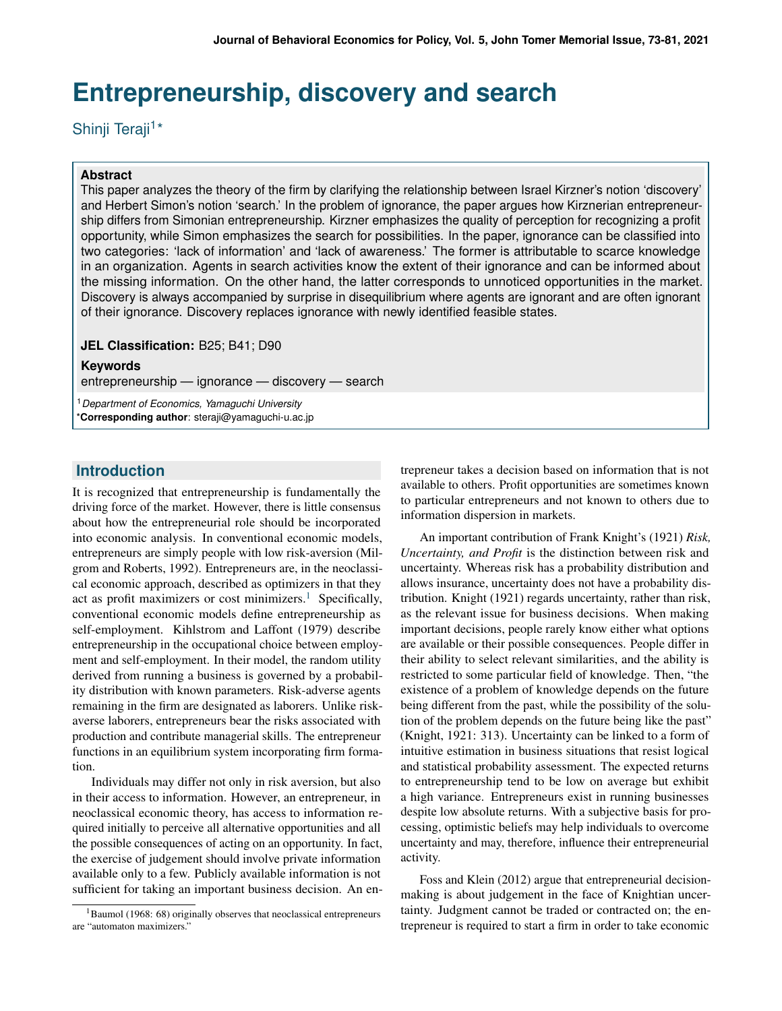# **Entrepreneurship, discovery and search**

Shinji Teraji<sup>1\*</sup>

### **Abstract**

This paper analyzes the theory of the firm by clarifying the relationship between Israel Kirzner's notion 'discovery' and Herbert Simon's notion 'search.' In the problem of ignorance, the paper argues how Kirznerian entrepreneurship differs from Simonian entrepreneurship. Kirzner emphasizes the quality of perception for recognizing a profit opportunity, while Simon emphasizes the search for possibilities. In the paper, ignorance can be classified into two categories: 'lack of information' and 'lack of awareness.' The former is attributable to scarce knowledge in an organization. Agents in search activities know the extent of their ignorance and can be informed about the missing information. On the other hand, the latter corresponds to unnoticed opportunities in the market. Discovery is always accompanied by surprise in disequilibrium where agents are ignorant and are often ignorant of their ignorance. Discovery replaces ignorance with newly identified feasible states.

**JEL Classification:** B25; B41; D90

#### **Keywords**

entrepreneurship — ignorance — discovery — search

<sup>1</sup>*Department of Economics, Yamaguchi University* \***Corresponding author**: steraji@yamaguchi-u.ac.jp

# **Introduction**

It is recognized that entrepreneurship is fundamentally the driving force of the market. However, there is little consensus about how the entrepreneurial role should be incorporated into economic analysis. In conventional economic models, entrepreneurs are simply people with low risk-aversion (Milgrom and Roberts, 1992). Entrepreneurs are, in the neoclassical economic approach, described as optimizers in that they act as profit maximizers or cost minimizers.<sup>[1](#page-0-0)</sup> Specifically, conventional economic models define entrepreneurship as self-employment. Kihlstrom and Laffont (1979) describe entrepreneurship in the occupational choice between employment and self-employment. In their model, the random utility derived from running a business is governed by a probability distribution with known parameters. Risk-adverse agents remaining in the firm are designated as laborers. Unlike riskaverse laborers, entrepreneurs bear the risks associated with production and contribute managerial skills. The entrepreneur functions in an equilibrium system incorporating firm formation.

Individuals may differ not only in risk aversion, but also in their access to information. However, an entrepreneur, in neoclassical economic theory, has access to information required initially to perceive all alternative opportunities and all the possible consequences of acting on an opportunity. In fact, the exercise of judgement should involve private information available only to a few. Publicly available information is not sufficient for taking an important business decision. An entrepreneur takes a decision based on information that is not available to others. Profit opportunities are sometimes known to particular entrepreneurs and not known to others due to information dispersion in markets.

An important contribution of Frank Knight's (1921) *Risk, Uncertainty, and Profit* is the distinction between risk and uncertainty. Whereas risk has a probability distribution and allows insurance, uncertainty does not have a probability distribution. Knight (1921) regards uncertainty, rather than risk, as the relevant issue for business decisions. When making important decisions, people rarely know either what options are available or their possible consequences. People differ in their ability to select relevant similarities, and the ability is restricted to some particular field of knowledge. Then, "the existence of a problem of knowledge depends on the future being different from the past, while the possibility of the solution of the problem depends on the future being like the past" (Knight, 1921: 313). Uncertainty can be linked to a form of intuitive estimation in business situations that resist logical and statistical probability assessment. The expected returns to entrepreneurship tend to be low on average but exhibit a high variance. Entrepreneurs exist in running businesses despite low absolute returns. With a subjective basis for processing, optimistic beliefs may help individuals to overcome uncertainty and may, therefore, influence their entrepreneurial activity.

Foss and Klein (2012) argue that entrepreneurial decisionmaking is about judgement in the face of Knightian uncertainty. Judgment cannot be traded or contracted on; the entrepreneur is required to start a firm in order to take economic

<span id="page-0-0"></span> $1$ Baumol (1968: 68) originally observes that neoclassical entrepreneurs are "automaton maximizers."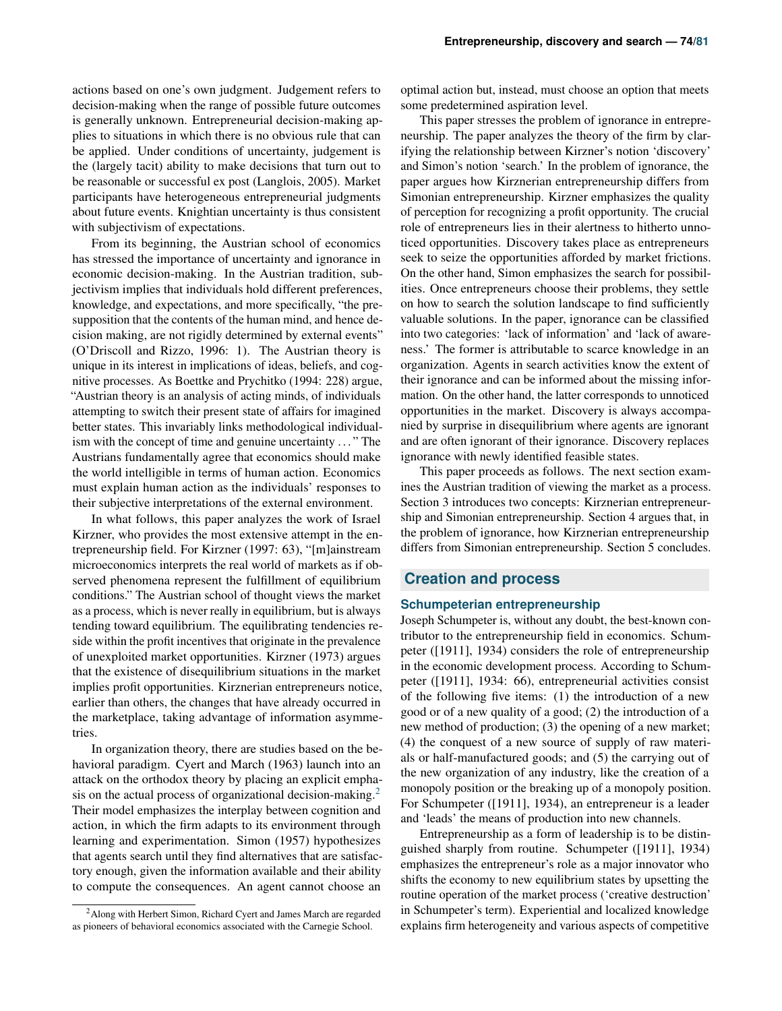actions based on one's own judgment. Judgement refers to decision-making when the range of possible future outcomes is generally unknown. Entrepreneurial decision-making applies to situations in which there is no obvious rule that can be applied. Under conditions of uncertainty, judgement is the (largely tacit) ability to make decisions that turn out to be reasonable or successful ex post (Langlois, 2005). Market participants have heterogeneous entrepreneurial judgments about future events. Knightian uncertainty is thus consistent with subjectivism of expectations.

From its beginning, the Austrian school of economics has stressed the importance of uncertainty and ignorance in economic decision-making. In the Austrian tradition, subjectivism implies that individuals hold different preferences, knowledge, and expectations, and more specifically, "the presupposition that the contents of the human mind, and hence decision making, are not rigidly determined by external events" (O'Driscoll and Rizzo, 1996: 1). The Austrian theory is unique in its interest in implications of ideas, beliefs, and cognitive processes. As Boettke and Prychitko (1994: 228) argue, "Austrian theory is an analysis of acting minds, of individuals attempting to switch their present state of affairs for imagined better states. This invariably links methodological individualism with the concept of time and genuine uncertainty . . . " The Austrians fundamentally agree that economics should make the world intelligible in terms of human action. Economics must explain human action as the individuals' responses to their subjective interpretations of the external environment.

In what follows, this paper analyzes the work of Israel Kirzner, who provides the most extensive attempt in the entrepreneurship field. For Kirzner (1997: 63), "[m]ainstream microeconomics interprets the real world of markets as if observed phenomena represent the fulfillment of equilibrium conditions." The Austrian school of thought views the market as a process, which is never really in equilibrium, but is always tending toward equilibrium. The equilibrating tendencies reside within the profit incentives that originate in the prevalence of unexploited market opportunities. Kirzner (1973) argues that the existence of disequilibrium situations in the market implies profit opportunities. Kirznerian entrepreneurs notice, earlier than others, the changes that have already occurred in the marketplace, taking advantage of information asymmetries.

In organization theory, there are studies based on the behavioral paradigm. Cyert and March (1963) launch into an attack on the orthodox theory by placing an explicit empha-sis on the actual process of organizational decision-making.<sup>[2](#page-1-0)</sup> Their model emphasizes the interplay between cognition and action, in which the firm adapts to its environment through learning and experimentation. Simon (1957) hypothesizes that agents search until they find alternatives that are satisfactory enough, given the information available and their ability to compute the consequences. An agent cannot choose an

optimal action but, instead, must choose an option that meets some predetermined aspiration level.

This paper stresses the problem of ignorance in entrepreneurship. The paper analyzes the theory of the firm by clarifying the relationship between Kirzner's notion 'discovery' and Simon's notion 'search.' In the problem of ignorance, the paper argues how Kirznerian entrepreneurship differs from Simonian entrepreneurship. Kirzner emphasizes the quality of perception for recognizing a profit opportunity. The crucial role of entrepreneurs lies in their alertness to hitherto unnoticed opportunities. Discovery takes place as entrepreneurs seek to seize the opportunities afforded by market frictions. On the other hand, Simon emphasizes the search for possibilities. Once entrepreneurs choose their problems, they settle on how to search the solution landscape to find sufficiently valuable solutions. In the paper, ignorance can be classified into two categories: 'lack of information' and 'lack of awareness.' The former is attributable to scarce knowledge in an organization. Agents in search activities know the extent of their ignorance and can be informed about the missing information. On the other hand, the latter corresponds to unnoticed opportunities in the market. Discovery is always accompanied by surprise in disequilibrium where agents are ignorant and are often ignorant of their ignorance. Discovery replaces ignorance with newly identified feasible states.

This paper proceeds as follows. The next section examines the Austrian tradition of viewing the market as a process. Section 3 introduces two concepts: Kirznerian entrepreneurship and Simonian entrepreneurship. Section 4 argues that, in the problem of ignorance, how Kirznerian entrepreneurship differs from Simonian entrepreneurship. Section 5 concludes.

## **Creation and process**

#### **Schumpeterian entrepreneurship**

Joseph Schumpeter is, without any doubt, the best-known contributor to the entrepreneurship field in economics. Schumpeter ([1911], 1934) considers the role of entrepreneurship in the economic development process. According to Schumpeter ([1911], 1934: 66), entrepreneurial activities consist of the following five items: (1) the introduction of a new good or of a new quality of a good; (2) the introduction of a new method of production; (3) the opening of a new market; (4) the conquest of a new source of supply of raw materials or half-manufactured goods; and (5) the carrying out of the new organization of any industry, like the creation of a monopoly position or the breaking up of a monopoly position. For Schumpeter ([1911], 1934), an entrepreneur is a leader and 'leads' the means of production into new channels.

Entrepreneurship as a form of leadership is to be distinguished sharply from routine. Schumpeter ([1911], 1934) emphasizes the entrepreneur's role as a major innovator who shifts the economy to new equilibrium states by upsetting the routine operation of the market process ('creative destruction' in Schumpeter's term). Experiential and localized knowledge explains firm heterogeneity and various aspects of competitive

<span id="page-1-0"></span><sup>&</sup>lt;sup>2</sup> Along with Herbert Simon, Richard Cyert and James March are regarded as pioneers of behavioral economics associated with the Carnegie School.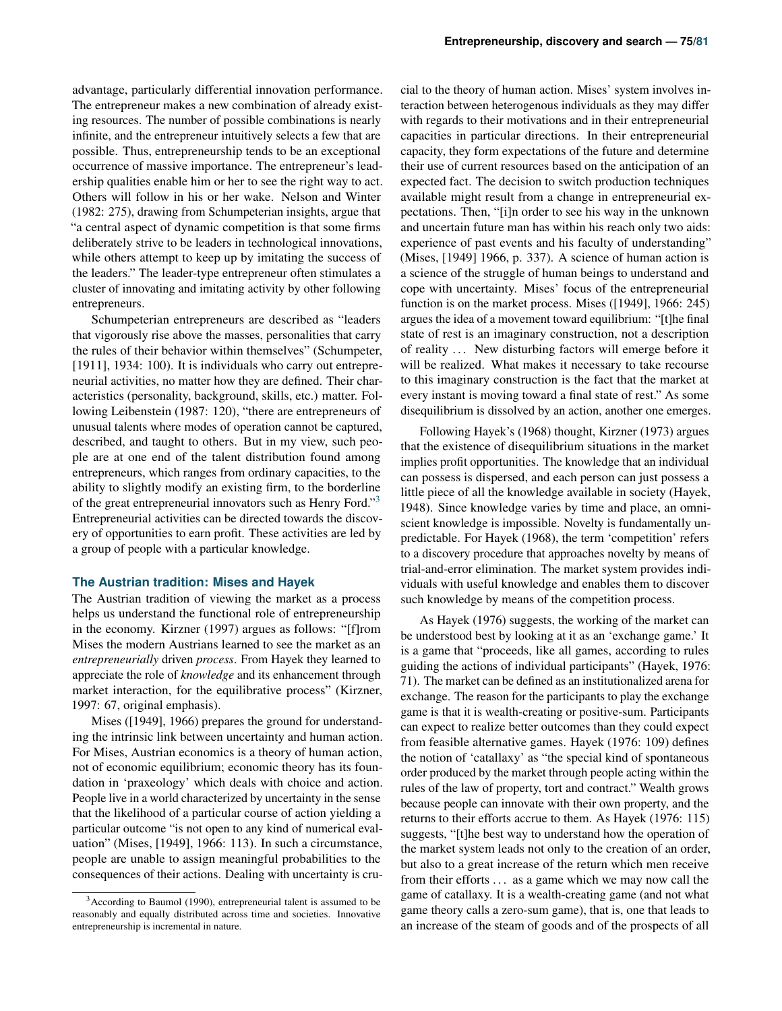advantage, particularly differential innovation performance. The entrepreneur makes a new combination of already existing resources. The number of possible combinations is nearly infinite, and the entrepreneur intuitively selects a few that are possible. Thus, entrepreneurship tends to be an exceptional occurrence of massive importance. The entrepreneur's leadership qualities enable him or her to see the right way to act. Others will follow in his or her wake. Nelson and Winter (1982: 275), drawing from Schumpeterian insights, argue that "a central aspect of dynamic competition is that some firms deliberately strive to be leaders in technological innovations, while others attempt to keep up by imitating the success of the leaders." The leader-type entrepreneur often stimulates a cluster of innovating and imitating activity by other following entrepreneurs.

Schumpeterian entrepreneurs are described as "leaders that vigorously rise above the masses, personalities that carry the rules of their behavior within themselves" (Schumpeter, [1911], 1934: 100). It is individuals who carry out entrepreneurial activities, no matter how they are defined. Their characteristics (personality, background, skills, etc.) matter. Following Leibenstein (1987: 120), "there are entrepreneurs of unusual talents where modes of operation cannot be captured, described, and taught to others. But in my view, such people are at one end of the talent distribution found among entrepreneurs, which ranges from ordinary capacities, to the ability to slightly modify an existing firm, to the borderline of the great entrepreneurial innovators such as Henry Ford."[3](#page-2-0) Entrepreneurial activities can be directed towards the discovery of opportunities to earn profit. These activities are led by a group of people with a particular knowledge.

#### **The Austrian tradition: Mises and Hayek**

The Austrian tradition of viewing the market as a process helps us understand the functional role of entrepreneurship in the economy. Kirzner (1997) argues as follows: "[f]rom Mises the modern Austrians learned to see the market as an *entrepreneurially* driven *process*. From Hayek they learned to appreciate the role of *knowledge* and its enhancement through market interaction, for the equilibrative process" (Kirzner, 1997: 67, original emphasis).

Mises ([1949], 1966) prepares the ground for understanding the intrinsic link between uncertainty and human action. For Mises, Austrian economics is a theory of human action, not of economic equilibrium; economic theory has its foundation in 'praxeology' which deals with choice and action. People live in a world characterized by uncertainty in the sense that the likelihood of a particular course of action yielding a particular outcome "is not open to any kind of numerical evaluation" (Mises, [1949], 1966: 113). In such a circumstance, people are unable to assign meaningful probabilities to the consequences of their actions. Dealing with uncertainty is cru-

cial to the theory of human action. Mises' system involves interaction between heterogenous individuals as they may differ with regards to their motivations and in their entrepreneurial capacities in particular directions. In their entrepreneurial capacity, they form expectations of the future and determine their use of current resources based on the anticipation of an expected fact. The decision to switch production techniques available might result from a change in entrepreneurial expectations. Then, "[i]n order to see his way in the unknown and uncertain future man has within his reach only two aids: experience of past events and his faculty of understanding" (Mises, [1949] 1966, p. 337). A science of human action is a science of the struggle of human beings to understand and cope with uncertainty. Mises' focus of the entrepreneurial function is on the market process. Mises ([1949], 1966: 245) argues the idea of a movement toward equilibrium: "[t]he final state of rest is an imaginary construction, not a description of reality ... New disturbing factors will emerge before it will be realized. What makes it necessary to take recourse to this imaginary construction is the fact that the market at every instant is moving toward a final state of rest." As some disequilibrium is dissolved by an action, another one emerges.

Following Hayek's (1968) thought, Kirzner (1973) argues that the existence of disequilibrium situations in the market implies profit opportunities. The knowledge that an individual can possess is dispersed, and each person can just possess a little piece of all the knowledge available in society (Hayek, 1948). Since knowledge varies by time and place, an omniscient knowledge is impossible. Novelty is fundamentally unpredictable. For Hayek (1968), the term 'competition' refers to a discovery procedure that approaches novelty by means of trial-and-error elimination. The market system provides individuals with useful knowledge and enables them to discover such knowledge by means of the competition process.

As Hayek (1976) suggests, the working of the market can be understood best by looking at it as an 'exchange game.' It is a game that "proceeds, like all games, according to rules guiding the actions of individual participants" (Hayek, 1976: 71). The market can be defined as an institutionalized arena for exchange. The reason for the participants to play the exchange game is that it is wealth-creating or positive-sum. Participants can expect to realize better outcomes than they could expect from feasible alternative games. Hayek (1976: 109) defines the notion of 'catallaxy' as "the special kind of spontaneous order produced by the market through people acting within the rules of the law of property, tort and contract." Wealth grows because people can innovate with their own property, and the returns to their efforts accrue to them. As Hayek (1976: 115) suggests, "[t]he best way to understand how the operation of the market system leads not only to the creation of an order, but also to a great increase of the return which men receive from their efforts . . . as a game which we may now call the game of catallaxy. It is a wealth-creating game (and not what game theory calls a zero-sum game), that is, one that leads to an increase of the steam of goods and of the prospects of all

<span id="page-2-0"></span><sup>&</sup>lt;sup>3</sup> According to Baumol (1990), entrepreneurial talent is assumed to be reasonably and equally distributed across time and societies. Innovative entrepreneurship is incremental in nature.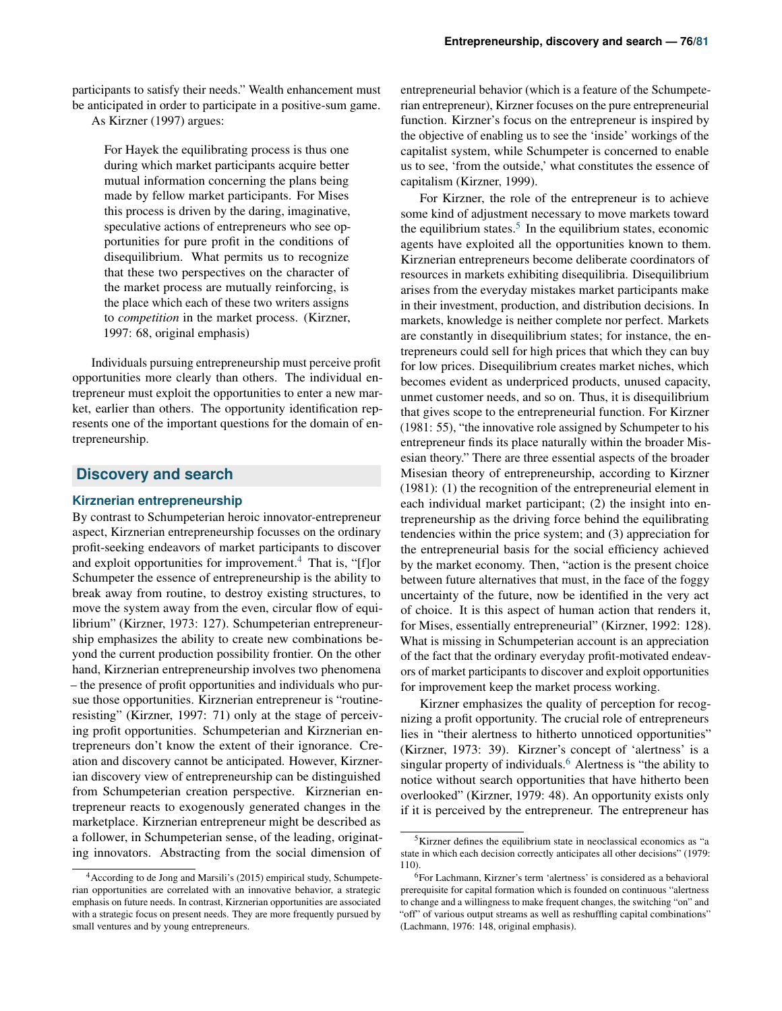participants to satisfy their needs." Wealth enhancement must be anticipated in order to participate in a positive-sum game.

As Kirzner (1997) argues:

For Hayek the equilibrating process is thus one during which market participants acquire better mutual information concerning the plans being made by fellow market participants. For Mises this process is driven by the daring, imaginative, speculative actions of entrepreneurs who see opportunities for pure profit in the conditions of disequilibrium. What permits us to recognize that these two perspectives on the character of the market process are mutually reinforcing, is the place which each of these two writers assigns to *competition* in the market process. (Kirzner, 1997: 68, original emphasis)

Individuals pursuing entrepreneurship must perceive profit opportunities more clearly than others. The individual entrepreneur must exploit the opportunities to enter a new market, earlier than others. The opportunity identification represents one of the important questions for the domain of entrepreneurship.

## **Discovery and search**

#### **Kirznerian entrepreneurship**

By contrast to Schumpeterian heroic innovator-entrepreneur aspect, Kirznerian entrepreneurship focusses on the ordinary profit-seeking endeavors of market participants to discover and exploit opportunities for improvement.<sup>[4](#page-3-0)</sup> That is, "[f]or Schumpeter the essence of entrepreneurship is the ability to break away from routine, to destroy existing structures, to move the system away from the even, circular flow of equilibrium" (Kirzner, 1973: 127). Schumpeterian entrepreneurship emphasizes the ability to create new combinations beyond the current production possibility frontier. On the other hand, Kirznerian entrepreneurship involves two phenomena – the presence of profit opportunities and individuals who pursue those opportunities. Kirznerian entrepreneur is "routineresisting" (Kirzner, 1997: 71) only at the stage of perceiving profit opportunities. Schumpeterian and Kirznerian entrepreneurs don't know the extent of their ignorance. Creation and discovery cannot be anticipated. However, Kirznerian discovery view of entrepreneurship can be distinguished from Schumpeterian creation perspective. Kirznerian entrepreneur reacts to exogenously generated changes in the marketplace. Kirznerian entrepreneur might be described as a follower, in Schumpeterian sense, of the leading, originating innovators. Abstracting from the social dimension of

entrepreneurial behavior (which is a feature of the Schumpeterian entrepreneur), Kirzner focuses on the pure entrepreneurial function. Kirzner's focus on the entrepreneur is inspired by the objective of enabling us to see the 'inside' workings of the capitalist system, while Schumpeter is concerned to enable us to see, 'from the outside,' what constitutes the essence of capitalism (Kirzner, 1999).

For Kirzner, the role of the entrepreneur is to achieve some kind of adjustment necessary to move markets toward the equilibrium states.<sup>[5](#page-3-1)</sup> In the equilibrium states, economic agents have exploited all the opportunities known to them. Kirznerian entrepreneurs become deliberate coordinators of resources in markets exhibiting disequilibria. Disequilibrium arises from the everyday mistakes market participants make in their investment, production, and distribution decisions. In markets, knowledge is neither complete nor perfect. Markets are constantly in disequilibrium states; for instance, the entrepreneurs could sell for high prices that which they can buy for low prices. Disequilibrium creates market niches, which becomes evident as underpriced products, unused capacity, unmet customer needs, and so on. Thus, it is disequilibrium that gives scope to the entrepreneurial function. For Kirzner (1981: 55), "the innovative role assigned by Schumpeter to his entrepreneur finds its place naturally within the broader Misesian theory." There are three essential aspects of the broader Misesian theory of entrepreneurship, according to Kirzner (1981): (1) the recognition of the entrepreneurial element in each individual market participant; (2) the insight into entrepreneurship as the driving force behind the equilibrating tendencies within the price system; and (3) appreciation for the entrepreneurial basis for the social efficiency achieved by the market economy. Then, "action is the present choice between future alternatives that must, in the face of the foggy uncertainty of the future, now be identified in the very act of choice. It is this aspect of human action that renders it, for Mises, essentially entrepreneurial" (Kirzner, 1992: 128). What is missing in Schumpeterian account is an appreciation of the fact that the ordinary everyday profit-motivated endeavors of market participants to discover and exploit opportunities for improvement keep the market process working.

Kirzner emphasizes the quality of perception for recognizing a profit opportunity. The crucial role of entrepreneurs lies in "their alertness to hitherto unnoticed opportunities" (Kirzner, 1973: 39). Kirzner's concept of 'alertness' is a singular property of individuals.<sup>[6](#page-3-2)</sup> Alertness is "the ability to notice without search opportunities that have hitherto been overlooked" (Kirzner, 1979: 48). An opportunity exists only if it is perceived by the entrepreneur. The entrepreneur has

<span id="page-3-0"></span><sup>4</sup>According to de Jong and Marsili's (2015) empirical study, Schumpeterian opportunities are correlated with an innovative behavior, a strategic emphasis on future needs. In contrast, Kirznerian opportunities are associated with a strategic focus on present needs. They are more frequently pursued by small ventures and by young entrepreneurs.

<span id="page-3-1"></span><sup>5</sup>Kirzner defines the equilibrium state in neoclassical economics as "a state in which each decision correctly anticipates all other decisions" (1979: 110).

<span id="page-3-2"></span><sup>6</sup>For Lachmann, Kirzner's term 'alertness' is considered as a behavioral prerequisite for capital formation which is founded on continuous "alertness to change and a willingness to make frequent changes, the switching "on" and "off" of various output streams as well as reshuffling capital combinations" (Lachmann, 1976: 148, original emphasis).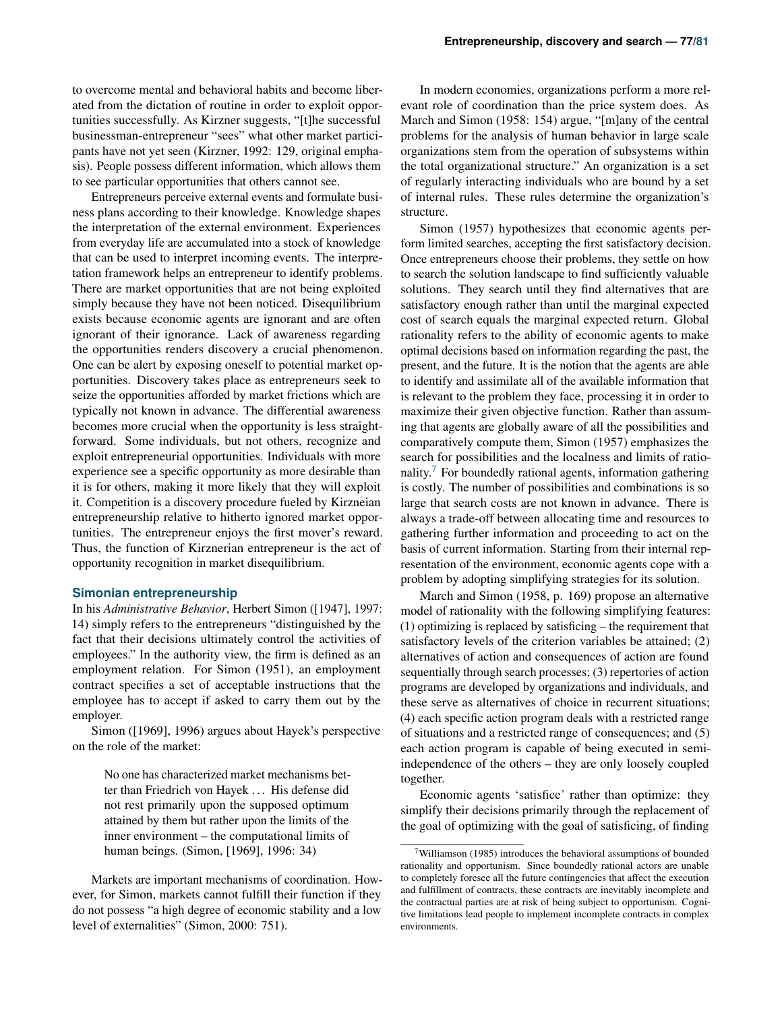to overcome mental and behavioral habits and become liberated from the dictation of routine in order to exploit opportunities successfully. As Kirzner suggests, "[t]he successful businessman-entrepreneur "sees" what other market participants have not yet seen (Kirzner, 1992: 129, original emphasis). People possess different information, which allows them to see particular opportunities that others cannot see.

Entrepreneurs perceive external events and formulate business plans according to their knowledge. Knowledge shapes the interpretation of the external environment. Experiences from everyday life are accumulated into a stock of knowledge that can be used to interpret incoming events. The interpretation framework helps an entrepreneur to identify problems. There are market opportunities that are not being exploited simply because they have not been noticed. Disequilibrium exists because economic agents are ignorant and are often ignorant of their ignorance. Lack of awareness regarding the opportunities renders discovery a crucial phenomenon. One can be alert by exposing oneself to potential market opportunities. Discovery takes place as entrepreneurs seek to seize the opportunities afforded by market frictions which are typically not known in advance. The differential awareness becomes more crucial when the opportunity is less straightforward. Some individuals, but not others, recognize and exploit entrepreneurial opportunities. Individuals with more experience see a specific opportunity as more desirable than it is for others, making it more likely that they will exploit it. Competition is a discovery procedure fueled by Kirzneian entrepreneurship relative to hitherto ignored market opportunities. The entrepreneur enjoys the first mover's reward. Thus, the function of Kirznerian entrepreneur is the act of opportunity recognition in market disequilibrium.

#### **Simonian entrepreneurship**

In his *Administrative Behavior*, Herbert Simon ([1947], 1997: 14) simply refers to the entrepreneurs "distinguished by the fact that their decisions ultimately control the activities of employees." In the authority view, the firm is defined as an employment relation. For Simon (1951), an employment contract specifies a set of acceptable instructions that the employee has to accept if asked to carry them out by the employer.

Simon ([1969], 1996) argues about Hayek's perspective on the role of the market:

> No one has characterized market mechanisms better than Friedrich von Hayek . . . His defense did not rest primarily upon the supposed optimum attained by them but rather upon the limits of the inner environment – the computational limits of human beings. (Simon, [1969], 1996: 34)

Markets are important mechanisms of coordination. However, for Simon, markets cannot fulfill their function if they do not possess "a high degree of economic stability and a low level of externalities" (Simon, 2000: 751).

In modern economies, organizations perform a more relevant role of coordination than the price system does. As March and Simon (1958: 154) argue, "[m]any of the central problems for the analysis of human behavior in large scale organizations stem from the operation of subsystems within the total organizational structure." An organization is a set of regularly interacting individuals who are bound by a set of internal rules. These rules determine the organization's structure.

Simon (1957) hypothesizes that economic agents perform limited searches, accepting the first satisfactory decision. Once entrepreneurs choose their problems, they settle on how to search the solution landscape to find sufficiently valuable solutions. They search until they find alternatives that are satisfactory enough rather than until the marginal expected cost of search equals the marginal expected return. Global rationality refers to the ability of economic agents to make optimal decisions based on information regarding the past, the present, and the future. It is the notion that the agents are able to identify and assimilate all of the available information that is relevant to the problem they face, processing it in order to maximize their given objective function. Rather than assuming that agents are globally aware of all the possibilities and comparatively compute them, Simon (1957) emphasizes the search for possibilities and the localness and limits of ratio-nality.<sup>[7](#page-4-0)</sup> For boundedly rational agents, information gathering is costly. The number of possibilities and combinations is so large that search costs are not known in advance. There is always a trade-off between allocating time and resources to gathering further information and proceeding to act on the basis of current information. Starting from their internal representation of the environment, economic agents cope with a problem by adopting simplifying strategies for its solution.

March and Simon (1958, p. 169) propose an alternative model of rationality with the following simplifying features: (1) optimizing is replaced by satisficing – the requirement that satisfactory levels of the criterion variables be attained; (2) alternatives of action and consequences of action are found sequentially through search processes; (3) repertories of action programs are developed by organizations and individuals, and these serve as alternatives of choice in recurrent situations; (4) each specific action program deals with a restricted range of situations and a restricted range of consequences; and (5) each action program is capable of being executed in semiindependence of the others – they are only loosely coupled together.

Economic agents 'satisfice' rather than optimize: they simplify their decisions primarily through the replacement of the goal of optimizing with the goal of satisficing, of finding

<span id="page-4-0"></span><sup>7</sup>Williamson (1985) introduces the behavioral assumptions of bounded rationality and opportunism. Since boundedly rational actors are unable to completely foresee all the future contingencies that affect the execution and fulfillment of contracts, these contracts are inevitably incomplete and the contractual parties are at risk of being subject to opportunism. Cognitive limitations lead people to implement incomplete contracts in complex environments.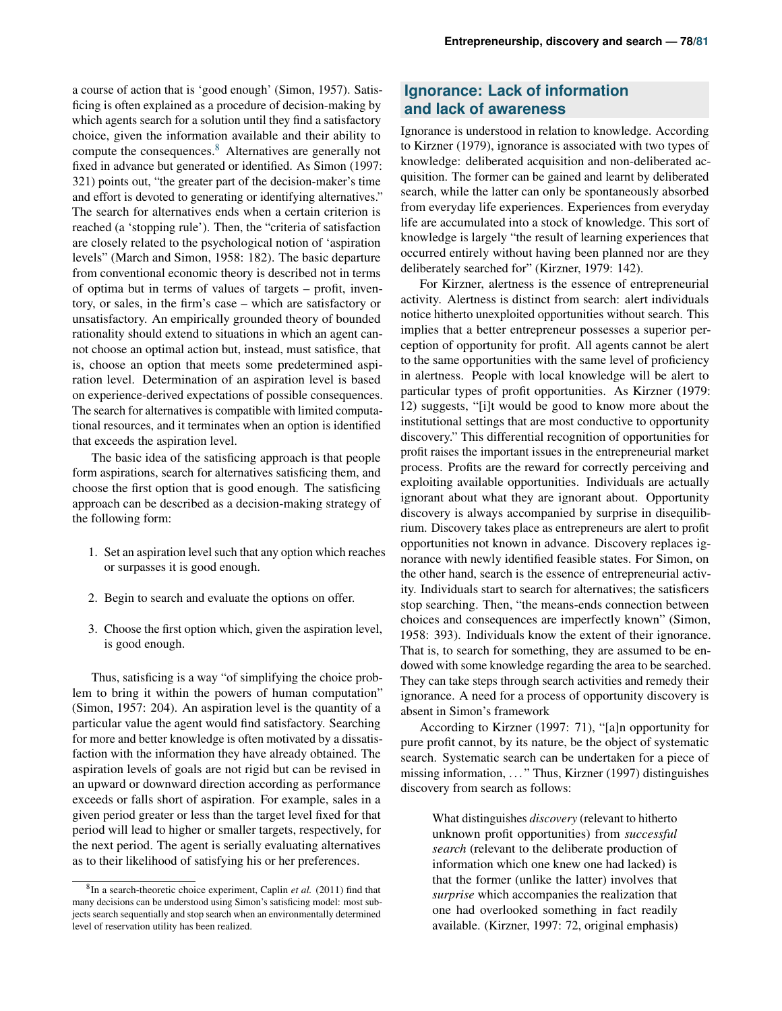a course of action that is 'good enough' (Simon, 1957). Satisficing is often explained as a procedure of decision-making by which agents search for a solution until they find a satisfactory choice, given the information available and their ability to compute the consequences.[8](#page-5-0) Alternatives are generally not fixed in advance but generated or identified. As Simon (1997: 321) points out, "the greater part of the decision-maker's time and effort is devoted to generating or identifying alternatives." The search for alternatives ends when a certain criterion is reached (a 'stopping rule'). Then, the "criteria of satisfaction are closely related to the psychological notion of 'aspiration levels" (March and Simon, 1958: 182). The basic departure from conventional economic theory is described not in terms of optima but in terms of values of targets – profit, inventory, or sales, in the firm's case – which are satisfactory or unsatisfactory. An empirically grounded theory of bounded rationality should extend to situations in which an agent cannot choose an optimal action but, instead, must satisfice, that is, choose an option that meets some predetermined aspiration level. Determination of an aspiration level is based on experience-derived expectations of possible consequences. The search for alternatives is compatible with limited computational resources, and it terminates when an option is identified that exceeds the aspiration level.

The basic idea of the satisficing approach is that people form aspirations, search for alternatives satisficing them, and choose the first option that is good enough. The satisficing approach can be described as a decision-making strategy of the following form:

- 1. Set an aspiration level such that any option which reaches or surpasses it is good enough.
- 2. Begin to search and evaluate the options on offer.
- 3. Choose the first option which, given the aspiration level, is good enough.

Thus, satisficing is a way "of simplifying the choice problem to bring it within the powers of human computation" (Simon, 1957: 204). An aspiration level is the quantity of a particular value the agent would find satisfactory. Searching for more and better knowledge is often motivated by a dissatisfaction with the information they have already obtained. The aspiration levels of goals are not rigid but can be revised in an upward or downward direction according as performance exceeds or falls short of aspiration. For example, sales in a given period greater or less than the target level fixed for that period will lead to higher or smaller targets, respectively, for the next period. The agent is serially evaluating alternatives as to their likelihood of satisfying his or her preferences.

# **Ignorance: Lack of information and lack of awareness**

Ignorance is understood in relation to knowledge. According to Kirzner (1979), ignorance is associated with two types of knowledge: deliberated acquisition and non-deliberated acquisition. The former can be gained and learnt by deliberated search, while the latter can only be spontaneously absorbed from everyday life experiences. Experiences from everyday life are accumulated into a stock of knowledge. This sort of knowledge is largely "the result of learning experiences that occurred entirely without having been planned nor are they deliberately searched for" (Kirzner, 1979: 142).

For Kirzner, alertness is the essence of entrepreneurial activity. Alertness is distinct from search: alert individuals notice hitherto unexploited opportunities without search. This implies that a better entrepreneur possesses a superior perception of opportunity for profit. All agents cannot be alert to the same opportunities with the same level of proficiency in alertness. People with local knowledge will be alert to particular types of profit opportunities. As Kirzner (1979: 12) suggests, "[i]t would be good to know more about the institutional settings that are most conductive to opportunity discovery." This differential recognition of opportunities for profit raises the important issues in the entrepreneurial market process. Profits are the reward for correctly perceiving and exploiting available opportunities. Individuals are actually ignorant about what they are ignorant about. Opportunity discovery is always accompanied by surprise in disequilibrium. Discovery takes place as entrepreneurs are alert to profit opportunities not known in advance. Discovery replaces ignorance with newly identified feasible states. For Simon, on the other hand, search is the essence of entrepreneurial activity. Individuals start to search for alternatives; the satisficers stop searching. Then, "the means-ends connection between choices and consequences are imperfectly known" (Simon, 1958: 393). Individuals know the extent of their ignorance. That is, to search for something, they are assumed to be endowed with some knowledge regarding the area to be searched. They can take steps through search activities and remedy their ignorance. A need for a process of opportunity discovery is absent in Simon's framework

According to Kirzner (1997: 71), "[a]n opportunity for pure profit cannot, by its nature, be the object of systematic search. Systematic search can be undertaken for a piece of missing information, . . . " Thus, Kirzner (1997) distinguishes discovery from search as follows:

> What distinguishes *discovery* (relevant to hitherto unknown profit opportunities) from *successful search* (relevant to the deliberate production of information which one knew one had lacked) is that the former (unlike the latter) involves that *surprise* which accompanies the realization that one had overlooked something in fact readily available. (Kirzner, 1997: 72, original emphasis)

<span id="page-5-0"></span><sup>8</sup> In a search-theoretic choice experiment, Caplin *et al.* (2011) find that many decisions can be understood using Simon's satisficing model: most subjects search sequentially and stop search when an environmentally determined level of reservation utility has been realized.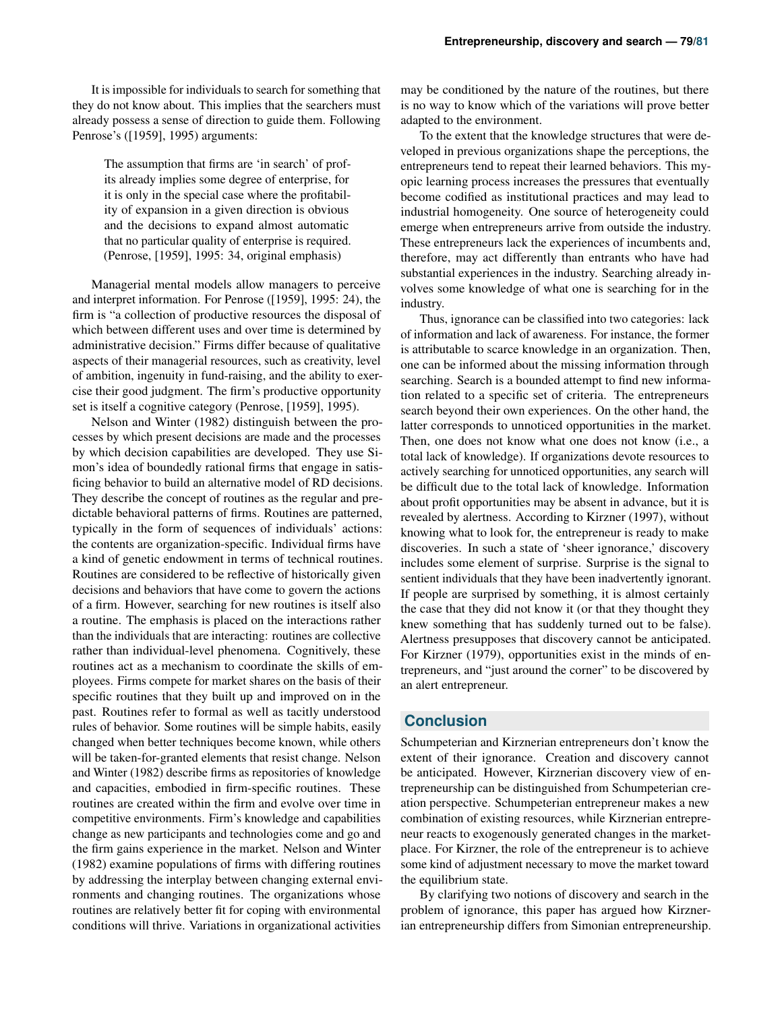It is impossible for individuals to search for something that they do not know about. This implies that the searchers must already possess a sense of direction to guide them. Following Penrose's ([1959], 1995) arguments:

> The assumption that firms are 'in search' of profits already implies some degree of enterprise, for it is only in the special case where the profitability of expansion in a given direction is obvious and the decisions to expand almost automatic that no particular quality of enterprise is required. (Penrose, [1959], 1995: 34, original emphasis)

Managerial mental models allow managers to perceive and interpret information. For Penrose ([1959], 1995: 24), the firm is "a collection of productive resources the disposal of which between different uses and over time is determined by administrative decision." Firms differ because of qualitative aspects of their managerial resources, such as creativity, level of ambition, ingenuity in fund-raising, and the ability to exercise their good judgment. The firm's productive opportunity set is itself a cognitive category (Penrose, [1959], 1995).

Nelson and Winter (1982) distinguish between the processes by which present decisions are made and the processes by which decision capabilities are developed. They use Simon's idea of boundedly rational firms that engage in satisficing behavior to build an alternative model of RD decisions. They describe the concept of routines as the regular and predictable behavioral patterns of firms. Routines are patterned, typically in the form of sequences of individuals' actions: the contents are organization-specific. Individual firms have a kind of genetic endowment in terms of technical routines. Routines are considered to be reflective of historically given decisions and behaviors that have come to govern the actions of a firm. However, searching for new routines is itself also a routine. The emphasis is placed on the interactions rather than the individuals that are interacting: routines are collective rather than individual-level phenomena. Cognitively, these routines act as a mechanism to coordinate the skills of employees. Firms compete for market shares on the basis of their specific routines that they built up and improved on in the past. Routines refer to formal as well as tacitly understood rules of behavior. Some routines will be simple habits, easily changed when better techniques become known, while others will be taken-for-granted elements that resist change. Nelson and Winter (1982) describe firms as repositories of knowledge and capacities, embodied in firm-specific routines. These routines are created within the firm and evolve over time in competitive environments. Firm's knowledge and capabilities change as new participants and technologies come and go and the firm gains experience in the market. Nelson and Winter (1982) examine populations of firms with differing routines by addressing the interplay between changing external environments and changing routines. The organizations whose routines are relatively better fit for coping with environmental conditions will thrive. Variations in organizational activities

may be conditioned by the nature of the routines, but there is no way to know which of the variations will prove better adapted to the environment.

To the extent that the knowledge structures that were developed in previous organizations shape the perceptions, the entrepreneurs tend to repeat their learned behaviors. This myopic learning process increases the pressures that eventually become codified as institutional practices and may lead to industrial homogeneity. One source of heterogeneity could emerge when entrepreneurs arrive from outside the industry. These entrepreneurs lack the experiences of incumbents and, therefore, may act differently than entrants who have had substantial experiences in the industry. Searching already involves some knowledge of what one is searching for in the industry.

Thus, ignorance can be classified into two categories: lack of information and lack of awareness. For instance, the former is attributable to scarce knowledge in an organization. Then, one can be informed about the missing information through searching. Search is a bounded attempt to find new information related to a specific set of criteria. The entrepreneurs search beyond their own experiences. On the other hand, the latter corresponds to unnoticed opportunities in the market. Then, one does not know what one does not know (i.e., a total lack of knowledge). If organizations devote resources to actively searching for unnoticed opportunities, any search will be difficult due to the total lack of knowledge. Information about profit opportunities may be absent in advance, but it is revealed by alertness. According to Kirzner (1997), without knowing what to look for, the entrepreneur is ready to make discoveries. In such a state of 'sheer ignorance,' discovery includes some element of surprise. Surprise is the signal to sentient individuals that they have been inadvertently ignorant. If people are surprised by something, it is almost certainly the case that they did not know it (or that they thought they knew something that has suddenly turned out to be false). Alertness presupposes that discovery cannot be anticipated. For Kirzner (1979), opportunities exist in the minds of entrepreneurs, and "just around the corner" to be discovered by an alert entrepreneur.

## **Conclusion**

Schumpeterian and Kirznerian entrepreneurs don't know the extent of their ignorance. Creation and discovery cannot be anticipated. However, Kirznerian discovery view of entrepreneurship can be distinguished from Schumpeterian creation perspective. Schumpeterian entrepreneur makes a new combination of existing resources, while Kirznerian entrepreneur reacts to exogenously generated changes in the marketplace. For Kirzner, the role of the entrepreneur is to achieve some kind of adjustment necessary to move the market toward the equilibrium state.

By clarifying two notions of discovery and search in the problem of ignorance, this paper has argued how Kirznerian entrepreneurship differs from Simonian entrepreneurship.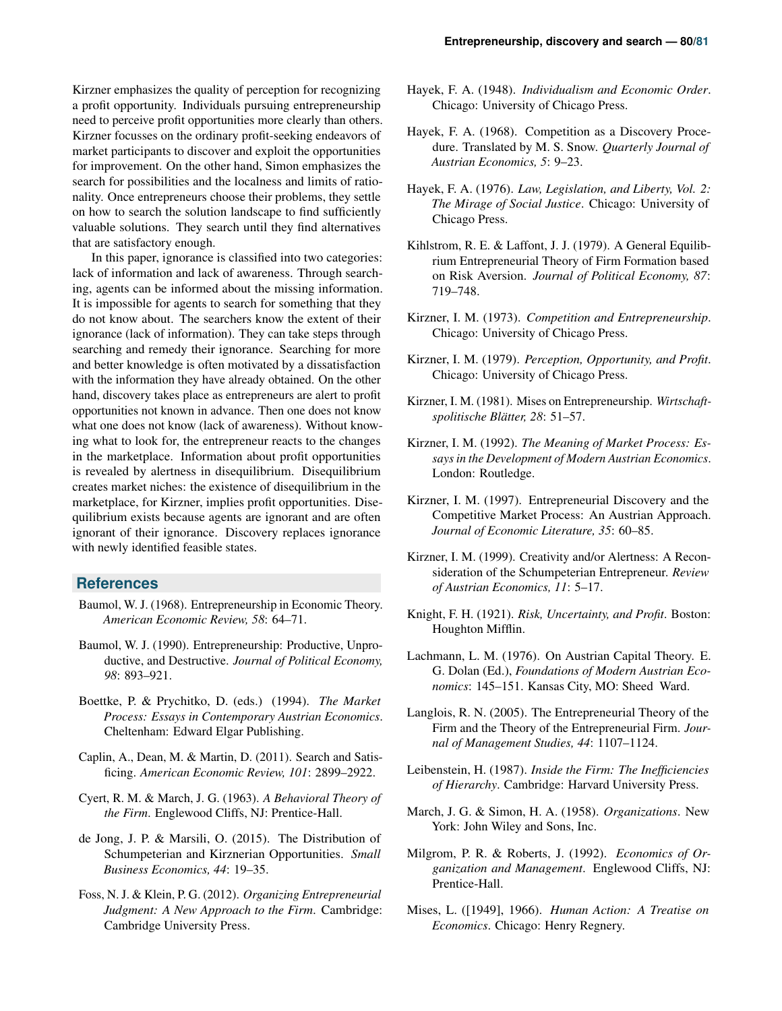Kirzner emphasizes the quality of perception for recognizing a profit opportunity. Individuals pursuing entrepreneurship need to perceive profit opportunities more clearly than others. Kirzner focusses on the ordinary profit-seeking endeavors of market participants to discover and exploit the opportunities for improvement. On the other hand, Simon emphasizes the search for possibilities and the localness and limits of rationality. Once entrepreneurs choose their problems, they settle on how to search the solution landscape to find sufficiently valuable solutions. They search until they find alternatives that are satisfactory enough.

In this paper, ignorance is classified into two categories: lack of information and lack of awareness. Through searching, agents can be informed about the missing information. It is impossible for agents to search for something that they do not know about. The searchers know the extent of their ignorance (lack of information). They can take steps through searching and remedy their ignorance. Searching for more and better knowledge is often motivated by a dissatisfaction with the information they have already obtained. On the other hand, discovery takes place as entrepreneurs are alert to profit opportunities not known in advance. Then one does not know what one does not know (lack of awareness). Without knowing what to look for, the entrepreneur reacts to the changes in the marketplace. Information about profit opportunities is revealed by alertness in disequilibrium. Disequilibrium creates market niches: the existence of disequilibrium in the marketplace, for Kirzner, implies profit opportunities. Disequilibrium exists because agents are ignorant and are often ignorant of their ignorance. Discovery replaces ignorance with newly identified feasible states.

## **References**

- Baumol, W. J. (1968). Entrepreneurship in Economic Theory. *American Economic Review, 58*: 64–71.
- Baumol, W. J. (1990). Entrepreneurship: Productive, Unproductive, and Destructive. *Journal of Political Economy, 98*: 893–921.
- Boettke, P. & Prychitko, D. (eds.) (1994). *The Market Process: Essays in Contemporary Austrian Economics*. Cheltenham: Edward Elgar Publishing.
- Caplin, A., Dean, M. & Martin, D. (2011). Search and Satisficing. *American Economic Review, 101*: 2899–2922.
- Cyert, R. M. & March, J. G. (1963). *A Behavioral Theory of the Firm*. Englewood Cliffs, NJ: Prentice-Hall.
- de Jong, J. P. & Marsili, O. (2015). The Distribution of Schumpeterian and Kirznerian Opportunities. *Small Business Economics, 44*: 19–35.
- Foss, N. J. & Klein, P. G. (2012). *Organizing Entrepreneurial Judgment: A New Approach to the Firm*. Cambridge: Cambridge University Press.
- Hayek, F. A. (1948). *Individualism and Economic Order*. Chicago: University of Chicago Press.
- Hayek, F. A. (1968). Competition as a Discovery Procedure. Translated by M. S. Snow. *Quarterly Journal of Austrian Economics, 5*: 9–23.
- Hayek, F. A. (1976). *Law, Legislation, and Liberty, Vol. 2: The Mirage of Social Justice*. Chicago: University of Chicago Press.
- Kihlstrom, R. E. & Laffont, J. J. (1979). A General Equilibrium Entrepreneurial Theory of Firm Formation based on Risk Aversion. *Journal of Political Economy, 87*: 719–748.
- Kirzner, I. M. (1973). *Competition and Entrepreneurship*. Chicago: University of Chicago Press.
- Kirzner, I. M. (1979). *Perception, Opportunity, and Profit*. Chicago: University of Chicago Press.
- Kirzner, I. M. (1981). Mises on Entrepreneurship. *Wirtschaftspolitische Blatter, 28 ¨* : 51–57.
- Kirzner, I. M. (1992). *The Meaning of Market Process: Essays in the Development of Modern Austrian Economics*. London: Routledge.
- Kirzner, I. M. (1997). Entrepreneurial Discovery and the Competitive Market Process: An Austrian Approach. *Journal of Economic Literature, 35*: 60–85.
- Kirzner, I. M. (1999). Creativity and/or Alertness: A Reconsideration of the Schumpeterian Entrepreneur. *Review of Austrian Economics, 11*: 5–17.
- Knight, F. H. (1921). *Risk, Uncertainty, and Profit*. Boston: Houghton Mifflin.
- Lachmann, L. M. (1976). On Austrian Capital Theory. E. G. Dolan (Ed.), *Foundations of Modern Austrian Economics*: 145–151. Kansas City, MO: Sheed Ward.
- Langlois, R. N. (2005). The Entrepreneurial Theory of the Firm and the Theory of the Entrepreneurial Firm. *Journal of Management Studies, 44*: 1107–1124.
- Leibenstein, H. (1987). *Inside the Firm: The Inefficiencies of Hierarchy*. Cambridge: Harvard University Press.
- March, J. G. & Simon, H. A. (1958). *Organizations*. New York: John Wiley and Sons, Inc.
- Milgrom, P. R. & Roberts, J. (1992). *Economics of Organization and Management*. Englewood Cliffs, NJ: Prentice-Hall.
- Mises, L. ([1949], 1966). *Human Action: A Treatise on Economics*. Chicago: Henry Regnery.